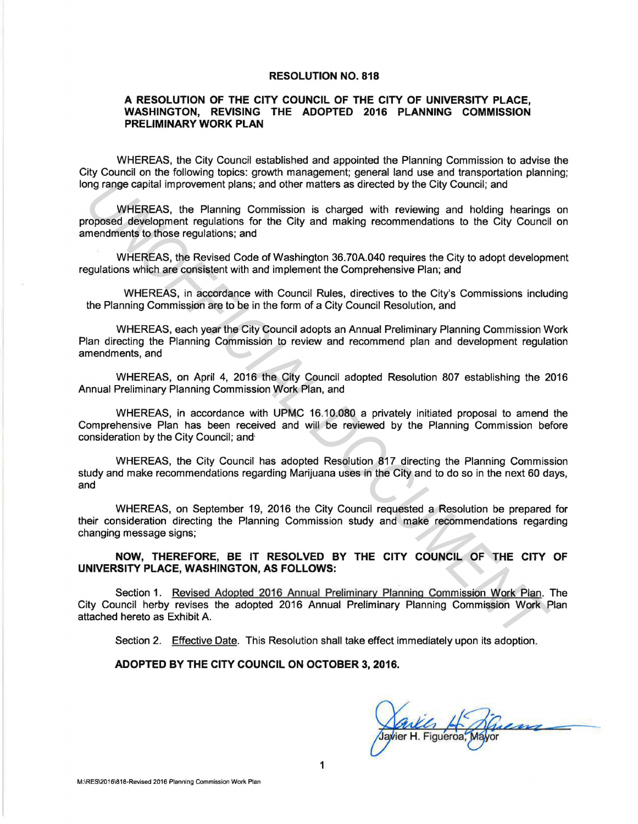#### RESOLUTION NO. 818

### A RESOLUTION OF THE CITY COUNCIL OF THE CITY OF UNIVERSITY PLACE, WASHINGTON, REVISING THE ADOPTED 2016 PLANNING COMMISSION PRELIMINARY WORK PLAN

WHEREAS, the City Council established and appointed the Planning Commission to advise the City Council on the following topics: growth management; general land use and transportation planning; long range capital improvement plans; and other matters as directed by the City Council; and

WHEREAS, the Planning Commission is charged with reviewing and holding hearings on proposed development regulations for the City and making recommendations to the City Council on amendments to those regulations; and

WHEREAS, the Revised Code of Washington 36.70A.040 requires the City to adopt development regulations which are consistent with and implement the Comprehensive Plan; and

WHEREAS, in accordance with Council Rules, directives to the City's Commissions including the Planning Commission are to be in the form of a City Council Resolution, and

WHEREAS, each year the City Council adopts an Annual Preliminary Planning Commission Work Plan directing the Planning Commission to review and recommend plan and development regulation amendments, and

WHEREAS, on April 4, 2016 the City Council adopted Resolution 807 establishing the 2016 Annual Preliminary Planning Commission Work Plan, and

WHEREAS, in accordance with UPMC 16.10.080 a privately initiated proposal to amend the Comprehensive Plan has been received and will be reviewed by the Planning Commission before consideration by the City Council; and·

WHEREAS, the City Council has adopted Resolution 817 directing the Planning Commission study and make recommendations regarding Marijuana uses in the City and to do so in the next 60 days, and

WHEREAS, on September 19, 2016 the City Council requested a Resolution be prepared for their consideration directing the Planning Commission study and make recommendations regarding changing message signs;

NOW, THEREFORE, BE IT RESOLVED BY THE CITY COUNCIL OF THE CITY OF UNIVERSITY PLACE, WASHINGTON, AS FOLLOWS:

Section 1. Revised Adopted 2016 Annual Preliminary Planning Commission Work Plan. The City Council herby revises the adopted 2016 Annual Preliminary Planning Commission Work Plan attached hereto as Exhibit A. programe capital improvement plans; and other matters as directed by the City Council; and<br>
WHEREAS, the Planning Commission is charged with reviewing and holding hear<br>
represence evelopment regulations; and<br>
where regulat

Section 2. Effective Date. This Resolution shall take effect immediately upon its adoption.

#### ADOPTED BY THE CITY COUNCIL ON OCTOBER 3, 2016.

*<u>Ankley Hoffen</u>*<br>Jaylier H. Figueroa, Mayor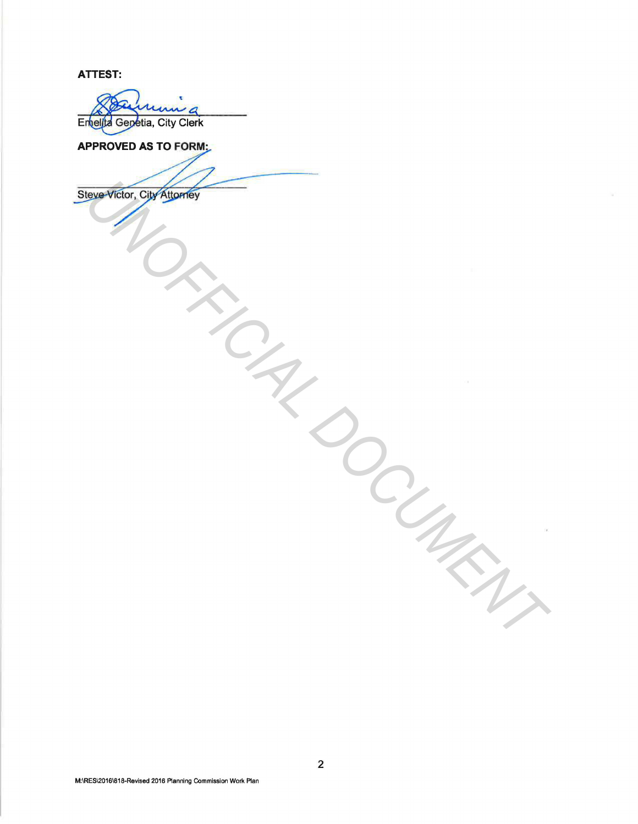**ATTEST:** 

 $\mathcal{L}_{\mathcal{A} \mathcal{A} \mathcal{A}}$  $\overline{\phantom{a}}$ Entelita Genetia, City Clerk

 $\overline{A}$ VED AS TO FORM:<br>Ictor, City Attorney **UNITARIAL DOCUMENTAL DE CANSO EN CANSO DE CANSO DE CANSO DE CANSO DE CANSO DE CANSO DE CANSO DE CANSO DE CANSO DE CANSO DE CANSO DE CANSO DE CANSO DE CANSO DE CANSO DE CANSO DE CANSO DE CANSO DE CANSO DE CANSO DE CANSO DE**